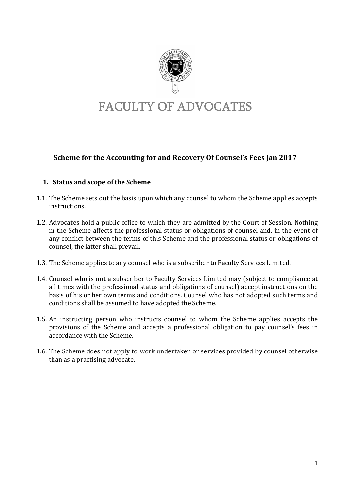

# FACULTY OF ADVOCATES

# **Scheme for the Accounting for and Recovery Of Counsel's Fees Jan 2017**

## **1. Status and scope of the Scheme**

- 1.1. The Scheme sets out the basis upon which any counsel to whom the Scheme applies accepts instructions.
- 1.2. Advocates hold a public office to which they are admitted by the Court of Session. Nothing in the Scheme affects the professional status or obligations of counsel and, in the event of any conflict between the terms of this Scheme and the professional status or obligations of counsel, the latter shall prevail.
- 1.3. The Scheme applies to any counsel who is a subscriber to Faculty Services Limited.
- 1.4. Counsel who is not a subscriber to Faculty Services Limited may (subject to compliance at all times with the professional status and obligations of counsel) accept instructions on the basis of his or her own terms and conditions. Counsel who has not adopted such terms and conditions shall be assumed to have adopted the Scheme.
- 1.5. An instructing person who instructs counsel to whom the Scheme applies accepts the provisions of the Scheme and accepts a professional obligation to pay counsel's fees in accordance with the Scheme.
- 1.6. The Scheme does not apply to work undertaken or services provided by counsel otherwise than as a practising advocate.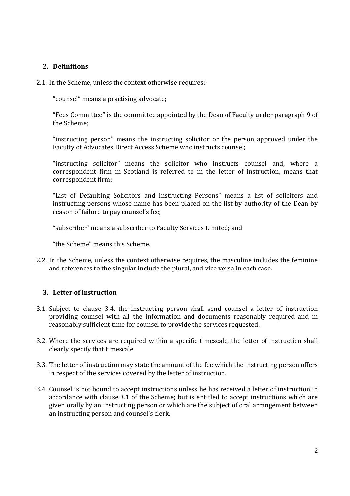## **2. Definitions**

2.1. In the Scheme, unless the context otherwise requires:-

"counsel" means a practising advocate;

"Fees Committee" is the committee appointed by the Dean of Faculty under paragraph 9 of the Scheme;

"instructing person" means the instructing solicitor or the person approved under the Faculty of Advocates Direct Access Scheme who instructs counsel;

"instructing solicitor" means the solicitor who instructs counsel and, where a correspondent firm in Scotland is referred to in the letter of instruction, means that correspondent firm;

"List of Defaulting Solicitors and Instructing Persons" means a list of solicitors and instructing persons whose name has been placed on the list by authority of the Dean by reason of failure to pay counsel's fee;

"subscriber" means a subscriber to Faculty Services Limited; and

"the Scheme" means this Scheme.

2.2. In the Scheme, unless the context otherwise requires, the masculine includes the feminine and references to the singular include the plural, and vice versa in each case.

## **3. Letter of instruction**

- 3.1. Subject to clause 3.4, the instructing person shall send counsel a letter of instruction providing counsel with all the information and documents reasonably required and in reasonably sufficient time for counsel to provide the services requested.
- 3.2. Where the services are required within a specific timescale, the letter of instruction shall clearly specify that timescale.
- 3.3. The letter of instruction may state the amount of the fee which the instructing person offers in respect of the services covered by the letter of instruction.
- 3.4. Counsel is not bound to accept instructions unless he has received a letter of instruction in accordance with clause 3.1 of the Scheme; but is entitled to accept instructions which are given orally by an instructing person or which are the subject of oral arrangement between an instructing person and counsel's clerk.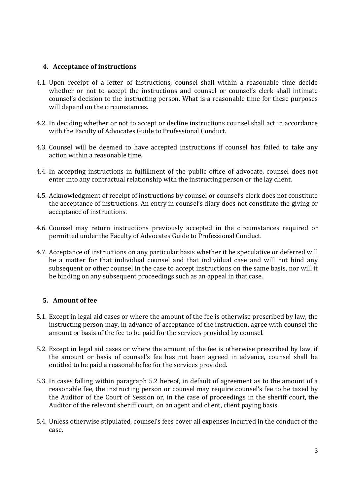## **4. Acceptance of instructions**

- 4.1. Upon receipt of a letter of instructions, counsel shall within a reasonable time decide whether or not to accept the instructions and counsel or counsel's clerk shall intimate counsel's decision to the instructing person. What is a reasonable time for these purposes will depend on the circumstances.
- 4.2. In deciding whether or not to accept or decline instructions counsel shall act in accordance with the Faculty of Advocates Guide to Professional Conduct.
- 4.3. Counsel will be deemed to have accepted instructions if counsel has failed to take any action within a reasonable time.
- 4.4. In accepting instructions in fulfillment of the public office of advocate, counsel does not enter into any contractual relationship with the instructing person or the lay client.
- 4.5. Acknowledgment of receipt of instructions by counsel or counsel's clerk does not constitute the acceptance of instructions. An entry in counsel's diary does not constitute the giving or acceptance of instructions.
- 4.6. Counsel may return instructions previously accepted in the circumstances required or permitted under the Faculty of Advocates Guide to Professional Conduct.
- 4.7. Acceptance of instructions on any particular basis whether it be speculative or deferred will be a matter for that individual counsel and that individual case and will not bind any subsequent or other counsel in the case to accept instructions on the same basis, nor will it be binding on any subsequent proceedings such as an appeal in that case.

## **5. Amount of fee**

- 5.1. Except in legal aid cases or where the amount of the fee is otherwise prescribed by law, the instructing person may, in advance of acceptance of the instruction, agree with counsel the amount or basis of the fee to be paid for the services provided by counsel.
- 5.2. Except in legal aid cases or where the amount of the fee is otherwise prescribed by law, if the amount or basis of counsel's fee has not been agreed in advance, counsel shall be entitled to be paid a reasonable fee for the services provided.
- 5.3. In cases falling within paragraph 5.2 hereof, in default of agreement as to the amount of a reasonable fee, the instructing person or counsel may require counsel's fee to be taxed by the Auditor of the Court of Session or, in the case of proceedings in the sheriff court, the Auditor of the relevant sheriff court, on an agent and client, client paying basis.
- 5.4. Unless otherwise stipulated, counsel's fees cover all expenses incurred in the conduct of the case.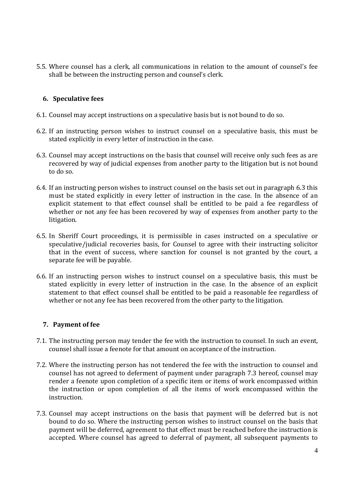5.5. Where counsel has a clerk, all communications in relation to the amount of counsel's fee shall be between the instructing person and counsel's clerk.

#### **6. Speculative fees**

- 6.1. Counsel may accept instructions on a speculative basis but is not bound to do so.
- 6.2. If an instructing person wishes to instruct counsel on a speculative basis, this must be stated explicitly in every letter of instruction in the case.
- 6.3. Counsel may accept instructions on the basis that counsel will receive only such fees as are recovered by way of judicial expenses from another party to the litigation but is not bound to do so.
- 6.4. If an instructing person wishes to instruct counsel on the basis set out in paragraph 6.3 this must be stated explicitly in every letter of instruction in the case. In the absence of an explicit statement to that effect counsel shall be entitled to be paid a fee regardless of whether or not any fee has been recovered by way of expenses from another party to the litigation.
- 6.5. In Sheriff Court proceedings, it is permissible in cases instructed on a speculative or speculative/judicial recoveries basis, for Counsel to agree with their instructing solicitor that in the event of success, where sanction for counsel is not granted by the court, a separate fee will be payable.
- 6.6. If an instructing person wishes to instruct counsel on a speculative basis, this must be stated explicitly in every letter of instruction in the case. In the absence of an explicit statement to that effect counsel shall be entitled to be paid a reasonable fee regardless of whether or not any fee has been recovered from the other party to the litigation.

#### **7. Payment of fee**

- 7.1. The instructing person may tender the fee with the instruction to counsel. In such an event, counsel shall issue a feenote for that amount on acceptance of the instruction.
- 7.2. Where the instructing person has not tendered the fee with the instruction to counsel and counsel has not agreed to deferment of payment under paragraph 7.3 hereof, counsel may render a feenote upon completion of a specific item or items of work encompassed within the instruction or upon completion of all the items of work encompassed within the instruction.
- 7.3. Counsel may accept instructions on the basis that payment will be deferred but is not bound to do so. Where the instructing person wishes to instruct counsel on the basis that payment will be deferred, agreement to that effect must be reached before the instruction is accepted. Where counsel has agreed to deferral of payment, all subsequent payments to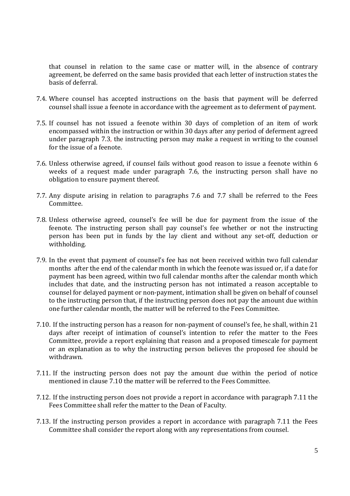that counsel in relation to the same case or matter will, in the absence of contrary agreement, be deferred on the same basis provided that each letter of instruction states the basis of deferral.

- 7.4. Where counsel has accepted instructions on the basis that payment will be deferred counsel shall issue a feenote in accordance with the agreement as to deferment of payment.
- 7.5. If counsel has not issued a feenote within 30 days of completion of an item of work encompassed within the instruction or within 30 days after any period of deferment agreed under paragraph 7.3, the instructing person may make a request in writing to the counsel for the issue of a feenote.
- 7.6. Unless otherwise agreed, if counsel fails without good reason to issue a feenote within 6 weeks of a request made under paragraph 7.6, the instructing person shall have no obligation to ensure payment thereof.
- 7.7. Any dispute arising in relation to paragraphs 7.6 and 7.7 shall be referred to the Fees Committee.
- 7.8. Unless otherwise agreed, counsel's fee will be due for payment from the issue of the feenote. The instructing person shall pay counsel's fee whether or not the instructing person has been put in funds by the lay client and without any set-off, deduction or withholding.
- 7.9. In the event that payment of counsel's fee has not been received within two full calendar months after the end of the calendar month in which the feenote was issued or, if a date for payment has been agreed, within two full calendar months after the calendar month which includes that date, and the instructing person has not intimated a reason acceptable to counsel for delayed payment or non-payment, intimation shall be given on behalf of counsel to the instructing person that, if the instructing person does not pay the amount due within one further calendar month, the matter will be referred to the Fees Committee.
- 7.10. If the instructing person has a reason for non-payment of counsel's fee, he shall, within 21 days after receipt of intimation of counsel's intention to refer the matter to the Fees Committee, provide a report explaining that reason and a proposed timescale for payment or an explanation as to why the instructing person believes the proposed fee should be withdrawn.
- 7.11. If the instructing person does not pay the amount due within the period of notice mentioned in clause 7.10 the matter will be referred to the Fees Committee.
- 7.12. If the instructing person does not provide a report in accordance with paragraph 7.11 the Fees Committee shall refer the matter to the Dean of Faculty.
- 7.13. If the instructing person provides a report in accordance with paragraph 7.11 the Fees Committee shall consider the report along with any representations from counsel.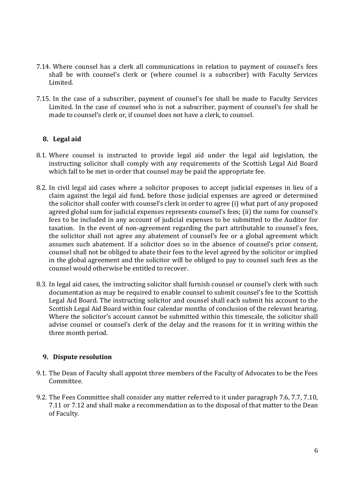- 7.14. Where counsel has a clerk all communications in relation to payment of counsel's fees shall be with counsel's clerk or (where counsel is a subscriber) with Faculty Services Limited.
- 7.15. In the case of a subscriber, payment of counsel's fee shall be made to Faculty Services Limited. In the case of counsel who is not a subscriber, payment of counsel's fee shall be made to counsel's clerk or, if counsel does not have a clerk, to counsel.

## **8. Legal aid**

- 8.1. Where counsel is instructed to provide legal aid under the legal aid legislation, the instructing solicitor shall comply with any requirements of the Scottish Legal Aid Board which fall to be met in order that counsel may be paid the appropriate fee.
- 8.2. In civil legal aid cases where a solicitor proposes to accept judicial expenses in lieu of a claim against the legal aid fund, before those judicial expenses are agreed or determined the solicitor shall confer with counsel's clerk in order to agree (i) what part of any proposed agreed global sum for judicial expenses represents counsel's fees; (ii) the sums for counsel's fees to be included in any account of judicial expenses to be submitted to the Auditor for taxation. In the event of non-agreement regarding the part attributable to counsel's fees, the solicitor shall not agree any abatement of counsel's fee or a global agreement which assumes such abatement. If a solicitor does so in the absence of counsel's prior consent, counsel shall not be obliged to abate their fees to the level agreed by the solicitor or implied in the global agreement and the solicitor will be obliged to pay to counsel such fees as the counsel would otherwise be entitled to recover.
- 8.3. In legal aid cases, the instructing solicitor shall furnish counsel or counsel's clerk with such documentation as may be required to enable counsel to submit counsel's fee to the Scottish Legal Aid Board. The instructing solicitor and counsel shall each submit his account to the Scottish Legal Aid Board within four calendar months of conclusion of the relevant hearing. Where the solicitor's account cannot be submitted within this timescale, the solicitor shall advise counsel or counsel's clerk of the delay and the reasons for it in writing within the three month period.

#### **9. Dispute resolution**

- 9.1. The Dean of Faculty shall appoint three members of the Faculty of Advocates to be the Fees Committee.
- 9.2. The Fees Committee shall consider any matter referred to it under paragraph 7.6, 7.7, 7.10, 7.11 or 7.12 and shall make a recommendation as to the disposal of that matter to the Dean of Faculty.